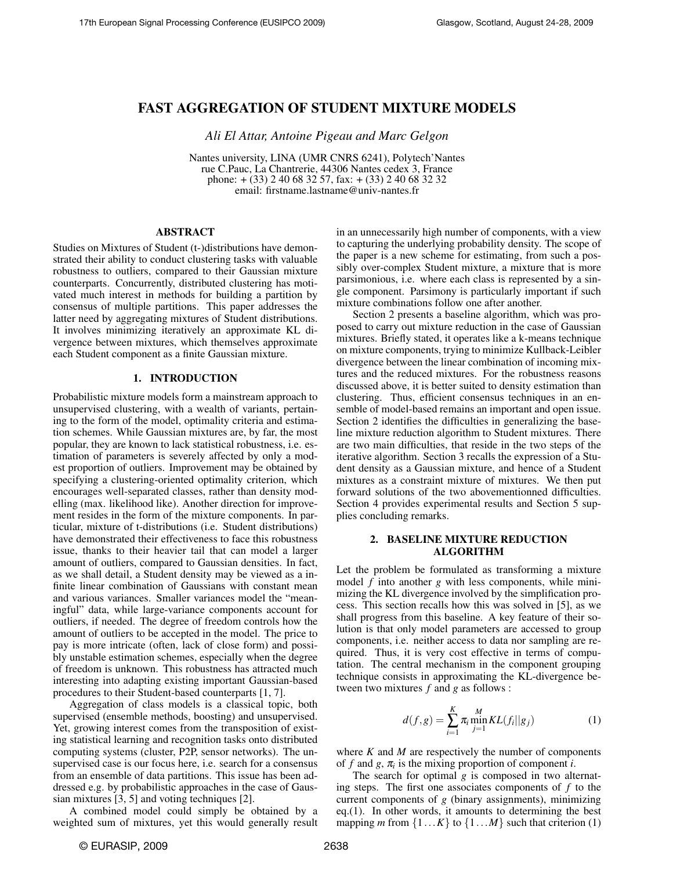# FAST AGGREGATION OF STUDENT MIXTURE MODELS

*Ali El Attar, Antoine Pigeau and Marc Gelgon*

Nantes university, LINA (UMR CNRS 6241), Polytech'Nantes rue C.Pauc, La Chantrerie, 44306 Nantes cedex 3, France phone: + (33) 2 40 68 32 57, fax: + (33) 2 40 68 32 32 email: firstname.lastname@univ-nantes.fr

# ABSTRACT

Studies on Mixtures of Student (t-)distributions have demonstrated their ability to conduct clustering tasks with valuable robustness to outliers, compared to their Gaussian mixture counterparts. Concurrently, distributed clustering has motivated much interest in methods for building a partition by consensus of multiple partitions. This paper addresses the latter need by aggregating mixtures of Student distributions. It involves minimizing iteratively an approximate KL divergence between mixtures, which themselves approximate each Student component as a finite Gaussian mixture.

# 1. INTRODUCTION

Probabilistic mixture models form a mainstream approach to unsupervised clustering, with a wealth of variants, pertaining to the form of the model, optimality criteria and estimation schemes. While Gaussian mixtures are, by far, the most popular, they are known to lack statistical robustness, i.e. estimation of parameters is severely affected by only a modest proportion of outliers. Improvement may be obtained by specifying a clustering-oriented optimality criterion, which encourages well-separated classes, rather than density modelling (max. likelihood like). Another direction for improvement resides in the form of the mixture components. In particular, mixture of t-distributions (i.e. Student distributions) have demonstrated their effectiveness to face this robustness issue, thanks to their heavier tail that can model a larger amount of outliers, compared to Gaussian densities. In fact, as we shall detail, a Student density may be viewed as a infinite linear combination of Gaussians with constant mean and various variances. Smaller variances model the "meaningful" data, while large-variance components account for outliers, if needed. The degree of freedom controls how the amount of outliers to be accepted in the model. The price to pay is more intricate (often, lack of close form) and possibly unstable estimation schemes, especially when the degree of freedom is unknown. This robustness has attracted much interesting into adapting existing important Gaussian-based procedures to their Student-based counterparts [1, 7].

Aggregation of class models is a classical topic, both supervised (ensemble methods, boosting) and unsupervised. Yet, growing interest comes from the transposition of existing statistical learning and recognition tasks onto distributed computing systems (cluster, P2P, sensor networks). The unsupervised case is our focus here, i.e. search for a consensus from an ensemble of data partitions. This issue has been addressed e.g. by probabilistic approaches in the case of Gaussian mixtures [3, 5] and voting techniques [2].

A combined model could simply be obtained by a weighted sum of mixtures, yet this would generally result in an unnecessarily high number of components, with a view to capturing the underlying probability density. The scope of the paper is a new scheme for estimating, from such a possibly over-complex Student mixture, a mixture that is more parsimonious, i.e. where each class is represented by a single component. Parsimony is particularly important if such mixture combinations follow one after another.

Section 2 presents a baseline algorithm, which was proposed to carry out mixture reduction in the case of Gaussian mixtures. Briefly stated, it operates like a k-means technique on mixture components, trying to minimize Kullback-Leibler divergence between the linear combination of incoming mixtures and the reduced mixtures. For the robustness reasons discussed above, it is better suited to density estimation than clustering. Thus, efficient consensus techniques in an ensemble of model-based remains an important and open issue. Section 2 identifies the difficulties in generalizing the baseline mixture reduction algorithm to Student mixtures. There are two main difficulties, that reside in the two steps of the iterative algorithm. Section 3 recalls the expression of a Student density as a Gaussian mixture, and hence of a Student mixtures as a constraint mixture of mixtures. We then put forward solutions of the two abovementionned difficulties. Section 4 provides experimental results and Section 5 supplies concluding remarks.

# 2. BASELINE MIXTURE REDUCTION ALGORITHM

Let the problem be formulated as transforming a mixture model *f* into another *g* with less components, while minimizing the KL divergence involved by the simplification process. This section recalls how this was solved in [5], as we shall progress from this baseline. A key feature of their solution is that only model parameters are accessed to group components, i.e. neither access to data nor sampling are required. Thus, it is very cost effective in terms of computation. The central mechanism in the component grouping technique consists in approximating the KL-divergence between two mixtures *f* and *g* as follows :

$$
d(f,g) = \sum_{i=1}^{K} \pi_i \min_{j=1}^{M} KL(f_i||g_j)
$$
 (1)

where *K* and *M* are respectively the number of components of  $f$  and  $g$ ,  $\pi$ <sub>*i*</sub> is the mixing proportion of component *i*.

The search for optimal *g* is composed in two alternating steps. The first one associates components of *f* to the current components of *g* (binary assignments), minimizing eq.(1). In other words, it amounts to determining the best mapping *m* from  $\{1...K\}$  to  $\{1...M\}$  such that criterion (1)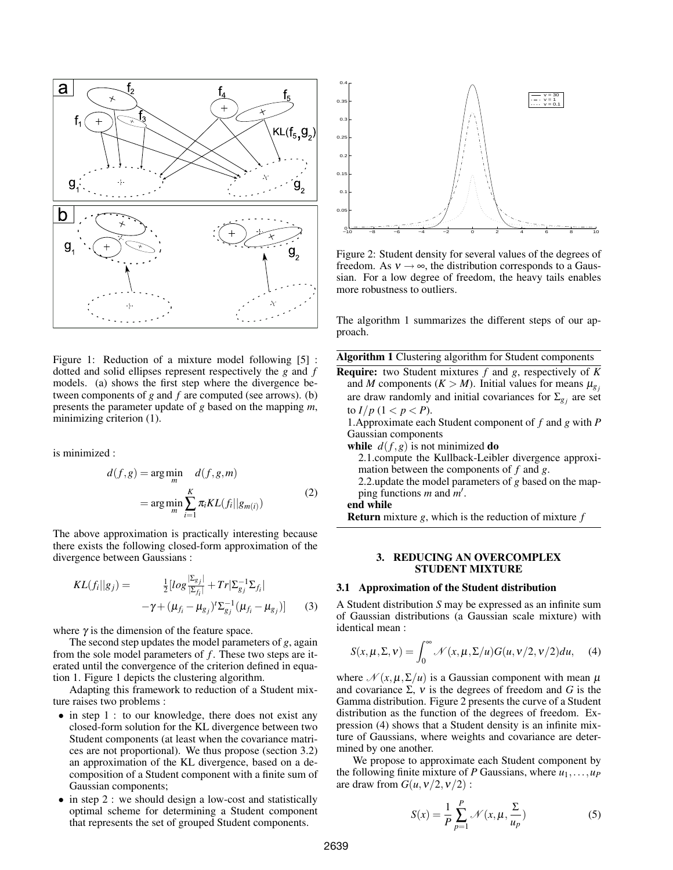

Figure 1: Reduction of a mixture model following [5] : dotted and solid ellipses represent respectively the *g* and *f* models. (a) shows the first step where the divergence between components of *g* and *f* are computed (see arrows). (b) presents the parameter update of *g* based on the mapping *m*, minimizing criterion  $(1)$ .

is minimized :

$$
d(f,g) = \underset{m}{\arg\min} \quad d(f,g,m)
$$
  
= 
$$
\underset{m}{\arg\min} \sum_{i=1}^{K} \pi_i KL(f_i || g_{m(i)})
$$
 (2)

The above approximation is practically interesting because there exists the following closed-form approximation of the divergence between Gaussians :

$$
KL(f_i||g_j) = \frac{\frac{1}{2}[log\frac{|\Sigma_{g_j}|}{|\Sigma_{f_i}|} + Tr|\Sigma_{g_j}^{-1}\Sigma_{f_i}|}{-\gamma + (\mu_{f_i} - \mu_{g_j})' \Sigma_{g_j}^{-1}(\mu_{f_i} - \mu_{g_j})]}
$$
(3)

where  $\gamma$  is the dimension of the feature space.

The second step updates the model parameters of *g*, again from the sole model parameters of *f* . These two steps are iterated until the convergence of the criterion defined in equation 1. Figure 1 depicts the clustering algorithm.

Adapting this framework to reduction of a Student mixture raises two problems :

- in step 1 : to our knowledge, there does not exist any closed-form solution for the KL divergence between two Student components (at least when the covariance matrices are not proportional). We thus propose (section 3.2) an approximation of the KL divergence, based on a decomposition of a Student component with a finite sum of Gaussian components;
- in step 2 : we should design a low-cost and statistically optimal scheme for determining a Student component that represents the set of grouped Student components.



Figure 2: Student density for several values of the degrees of freedom. As  $v \rightarrow \infty$ , the distribution corresponds to a Gaussian. For a low degree of freedom, the heavy tails enables more robustness to outliers.

The algorithm 1 summarizes the different steps of our approach.

Algorithm 1 Clustering algorithm for Student components

Require: two Student mixtures *f* and *g*, respectively of *K* and *M* components ( $K > M$ ). Initial values for means  $\mu_{g_i}$ are draw randomly and initial covariances for  $\Sigma_{g_j}$  are set to  $I/p$   $(1 < p < P)$ .

1.Approximate each Student component of *f* and *g* with *P* Gaussian components

while  $d(f, g)$  is not minimized do

2.1.compute the Kullback-Leibler divergence approximation between the components of *f* and *g*.

2.2.update the model parameters of *g* based on the mapping functions *m* and *m'*.

end while

Return mixture *g*, which is the reduction of mixture *f*

# 3. REDUCING AN OVERCOMPLEX STUDENT MIXTURE

#### 3.1 Approximation of the Student distribution

A Student distribution *S* may be expressed as an infinite sum of Gaussian distributions (a Gaussian scale mixture) with identical mean :

$$
S(x, \mu, \Sigma, v) = \int_0^\infty \mathcal{N}(x, \mu, \Sigma/u) G(u, v/2, v/2) du,
$$
 (4)

where  $\mathcal{N}(x, \mu, \Sigma/\mu)$  is a Gaussian component with mean  $\mu$ and covariance  $\Sigma$ ,  $\nu$  is the degrees of freedom and *G* is the Gamma distribution. Figure 2 presents the curve of a Student distribution as the function of the degrees of freedom. Expression (4) shows that a Student density is an infinite mixture of Gaussians, where weights and covariance are determined by one another.

We propose to approximate each Student component by the following finite mixture of *P* Gaussians, where  $u_1, \ldots, u_p$ are draw from  $G(u, v/2, v/2)$ :

$$
S(x) = \frac{1}{P} \sum_{p=1}^{P} \mathcal{N}(x, \mu, \frac{\Sigma}{u_p})
$$
 (5)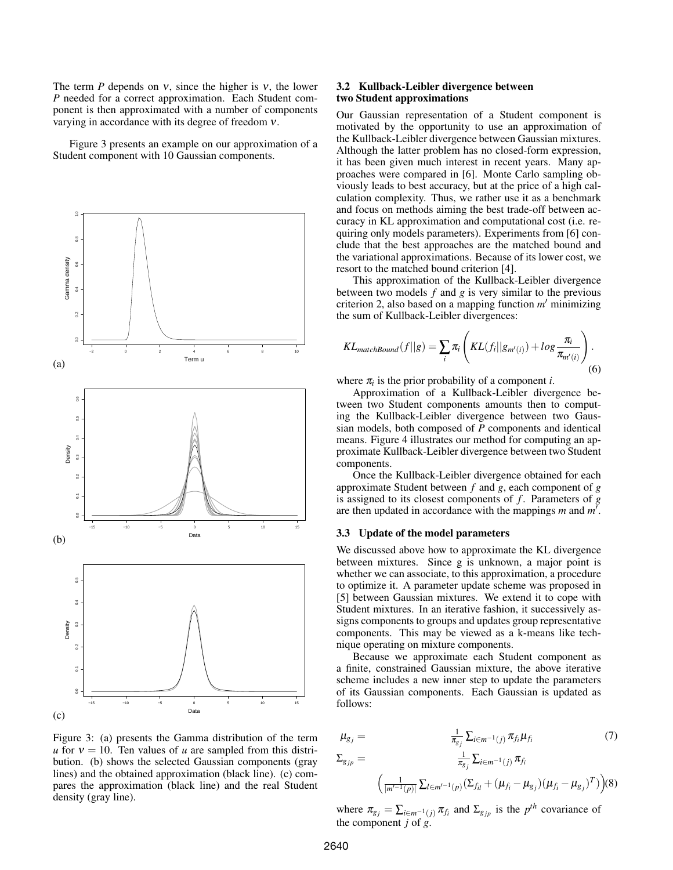The term *P* depends on *v*, since the higher is *v*, the lower *P* needed for a correct approximation. Each Student component is then approximated with a number of components varying in accordance with its degree of freedom ν.

Figure 3 presents an example on our approximation of a Student component with 10 Gaussian components.



Figure 3: (a) presents the Gamma distribution of the term *u* for  $v = 10$ . Ten values of *u* are sampled from this distribution. (b) shows the selected Gaussian components (gray lines) and the obtained approximation (black line). (c) compares the approximation (black line) and the real Student density (gray line).

# 3.2 Kullback-Leibler divergence between two Student approximations

Our Gaussian representation of a Student component is motivated by the opportunity to use an approximation of the Kullback-Leibler divergence between Gaussian mixtures. Although the latter problem has no closed-form expression, it has been given much interest in recent years. Many approaches were compared in [6]. Monte Carlo sampling obviously leads to best accuracy, but at the price of a high calculation complexity. Thus, we rather use it as a benchmark and focus on methods aiming the best trade-off between accuracy in KL approximation and computational cost (i.e. requiring only models parameters). Experiments from [6] conclude that the best approaches are the matched bound and the variational approximations. Because of its lower cost, we resort to the matched bound criterion [4].

This approximation of the Kullback-Leibler divergence between two models *f* and *g* is very similar to the previous criterion 2, also based on a mapping function *m'* minimizing the sum of Kullback-Leibler divergences:

$$
KL_{matchBound}(f||g) = \sum_{i} \pi_{i} \left( KL(f_{i}||g_{m'(i)}) + log \frac{\pi_{i}}{\pi_{m'(i)}} \right).
$$
\n(6)

where  $\pi$ <sup>*i*</sup> is the prior probability of a component *i*.

Approximation of a Kullback-Leibler divergence between two Student components amounts then to computing the Kullback-Leibler divergence between two Gaussian models, both composed of *P* components and identical means. Figure 4 illustrates our method for computing an approximate Kullback-Leibler divergence between two Student components.

Once the Kullback-Leibler divergence obtained for each approximate Student between *f* and *g*, each component of *g* is assigned to its closest components of *f* . Parameters of *g* are then updated in accordance with the mappings  $m$  and  $m'$ .

# 3.3 Update of the model parameters

We discussed above how to approximate the KL divergence between mixtures. Since g is unknown, a major point is whether we can associate, to this approximation, a procedure to optimize it. A parameter update scheme was proposed in [5] between Gaussian mixtures. We extend it to cope with Student mixtures. In an iterative fashion, it successively assigns components to groups and updates group representative components. This may be viewed as a k-means like technique operating on mixture components.

Because we approximate each Student component as a finite, constrained Gaussian mixture, the above iterative scheme includes a new inner step to update the parameters of its Gaussian components. Each Gaussian is updated as follows:

$$
\mu_{g_j} = \frac{\frac{1}{\pi_{g_j}} \sum_{i \in m^{-1}(j)} \pi_{f_i} \mu_{f_i}}{\sum_{g_{jp}} = \frac{\frac{1}{\pi_{g_j}} \sum_{i \in m^{-1}(j)} \pi_{f_i}}{\left(\frac{1}{|m'^{-1}(p)|} \sum_{l \in m'^{-1}(p)} (\sum_{f_{il}} + (\mu_{f_i} - \mu_{g_j})(\mu_{f_i} - \mu_{g_j})^T)\right)} (8)
$$

where  $\pi_{g_j} = \sum_{i \in m^{-1}(j)} \pi_{f_i}$  and  $\Sigma_{g_{jp}}$  is the *p*<sup>th</sup> covariance of the component *j* of *g*.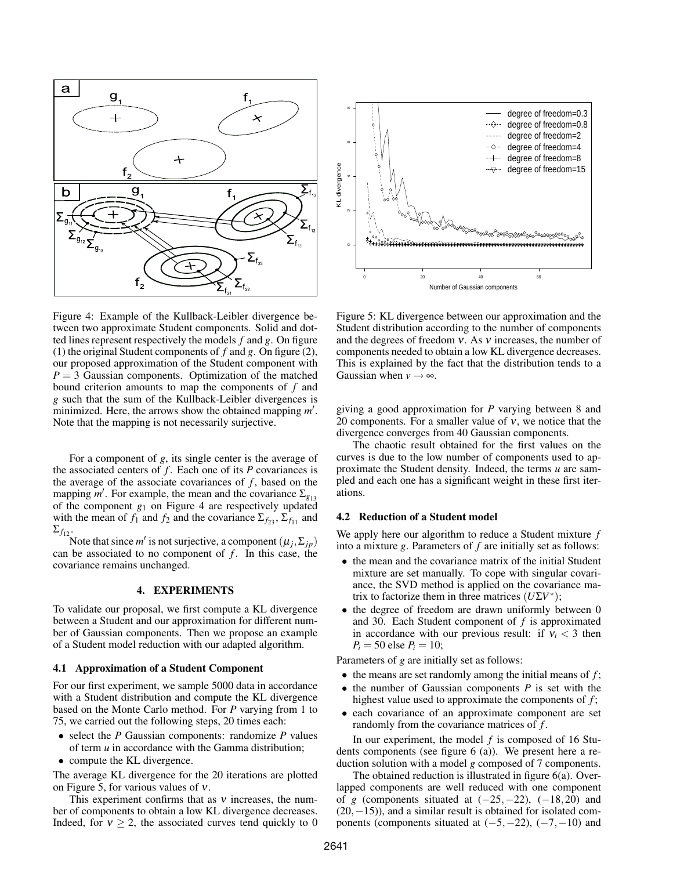

Figure 4: Example of the Kullback-Leibler divergence between two approximate Student components. Solid and dotted lines represent respectively the models *f* and *g*. On figure (1) the original Student components of *f* and *g*. On figure (2), our proposed approximation of the Student component with  $P = 3$  Gaussian components. Optimization of the matched bound criterion amounts to map the components of *f* and *g* such that the sum of the Kullback-Leibler divergences is minimized. Here, the arrows show the obtained mapping  $m'$ . Note that the mapping is not necessarily surjective.

For a component of *g*, its single center is the average of the associated centers of  $f$ . Each one of its  $P$  covariances is the average of the associate covariances of  $f$ , based on the mapping *m'*. For example, the mean and the covariance  $\Sigma_{g_{13}}$ of the component *g*<sup>1</sup> on Figure 4 are respectively updated with the mean of  $f_1$  and  $f_2$  and the covariance  $\Sigma_{f_{23}}, \Sigma_{f_{11}}$  and  $\Sigma_{f_{12}}$ .

Note that since *m'* is not surjective, a component  $(\mu_j, \Sigma_{jp})$ can be associated to no component of *f*. In this case, the covariance remains unchanged.

# 4. EXPERIMENTS

To validate our proposal, we first compute a KL divergence between a Student and our approximation for different number of Gaussian components. Then we propose an example of a Student model reduction with our adapted algorithm.

## 4.1 Approximation of a Student Component

For our first experiment, we sample 5000 data in accordance with a Student distribution and compute the KL divergence based on the Monte Carlo method. For *P* varying from 1 to 75, we carried out the following steps, 20 times each:

- select the *P* Gaussian components: randomize *P* values of term *u* in accordance with the Gamma distribution;
- compute the KL divergence.

The average KL divergence for the 20 iterations are plotted on Figure 5, for various values of ν.

This experiment confirms that as  $v$  increases, the number of components to obtain a low KL divergence decreases. Indeed, for  $v \ge 2$ , the associated curves tend quickly to 0



Figure 5: KL divergence between our approximation and the Student distribution according to the number of components and the degrees of freedom  $v$ . As  $v$  increases, the number of components needed to obtain a low KL divergence decreases. This is explained by the fact that the distribution tends to a Gaussian when  $v \rightarrow \infty$ .

giving a good approximation for *P* varying between 8 and 20 components. For a smaller value of  $v$ , we notice that the divergence converges from 40 Gaussian components.

The chaotic result obtained for the first values on the curves is due to the low number of components used to approximate the Student density. Indeed, the terms *u* are sampled and each one has a significant weight in these first iterations.

# 4.2 Reduction of a Student model

We apply here our algorithm to reduce a Student mixture *f* into a mixture *g*. Parameters of *f* are initially set as follows:

- the mean and the covariance matrix of the initial Student mixture are set manually. To cope with singular covariance, the SVD method is applied on the covariance matrix to factorize them in three matrices  $(U\Sigma V^*)$ ;
- the degree of freedom are drawn uniformly between 0 and 30. Each Student component of *f* is approximated in accordance with our previous result: if  $v_i < 3$  then  $P_i = 50$  else  $P_i = 10$ ;

Parameters of *g* are initially set as follows:

- the means are set randomly among the initial means of *f* ;
- the number of Gaussian components *P* is set with the highest value used to approximate the components of  $f$ ;
- each covariance of an approximate component are set randomly from the covariance matrices of *f* .

In our experiment, the model *f* is composed of 16 Students components (see figure 6 (a)). We present here a reduction solution with a model *g* composed of 7 components.

The obtained reduction is illustrated in figure 6(a). Overlapped components are well reduced with one component of *g* (components situated at  $(-25, -22)$ ,  $(-18, 20)$  and  $(20,−15)$ , and a similar result is obtained for isolated components (components situated at  $(-5, -22)$ ,  $(-7, -10)$  and